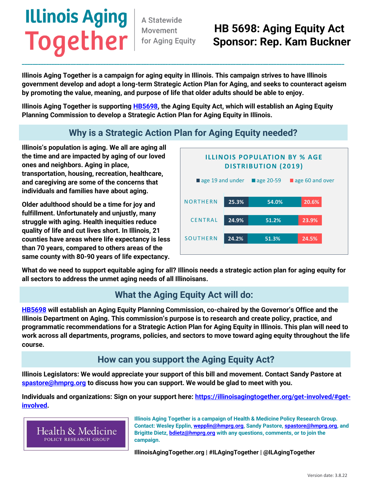# **Illinois Aging**

A Statewide Movement

### **Together** Movement HB 5698: Aging Equity Act  **Sponsor: Rep. Kam Buckner**

Illinois Aging Together is a campaign for aging equity in Illinois. This campaign strives to have Illinois government develop and adopt a long-term Strategic Action Plan for Aging, and seeks to counteract ageism by promoting the value, meaning, and purpose of life that older adults should be able to enjoy.

\_\_\_\_\_\_\_\_\_\_\_\_\_\_\_\_\_\_\_\_\_\_\_\_\_\_\_\_\_\_\_\_\_\_\_\_\_\_\_\_\_\_\_\_\_\_\_\_\_\_\_\_\_\_\_\_\_\_\_\_\_\_\_\_\_\_\_\_\_\_\_\_\_\_\_\_\_\_\_\_\_\_\_\_\_\_\_\_\_\_\_\_\_\_\_\_\_\_\_\_\_\_\_\_\_\_\_\_\_\_\_\_\_\_\_\_\_\_\_

Illinois Aging Together is supporting **HB5698**, the Aging Equity Act, which will establish an Aging Equity Planning Commission to develop a Strategic Action Plan for Aging Equity in Illinois.

#### **Why is a Strategic Action Plan for Aging Equity needed?**

Illinois's population is aging. We all are aging all the time and are impacted by aging of our loved ones and neighbors. Aging in place, transportation, housing, recreation, healthcare, and caregiving are some of the concerns that individuals and families have about aging.

Older adulthood should be a time for joy and fulfillment. Unfortunately and unjustly, many struggle with aging. Health inequities reduce quality of life and cut lives short. In Illinois, 21 counties have areas where life expectancy is less than 70 years, compared to others areas of the same county with 80-90 years of life expectancy.



What do we need to support equitable aging for all? **Illinois needs a strategic action plan for aging equity** for all sectors to address the unmet aging needs of all Illinoisans.

#### **What the Aging Equity Act will do:**

**[HB5698](https://www.ilga.gov/legislation/billstatus.asp?DocNum=5698&GAID=16&GA=102&DocTypeID=HB&LegID=140439&SessionID=110)** will establish an Aging Equity Planning Commission, co-chaired by the Governor's Office and the Illinois Department on Aging. This commission's purpose is to research and create policy, practice, and programmatic recommendations for a Strategic Action Plan for Aging Equity in Illinois. This plan will need to work across all departments, programs, policies, and sectors to move toward aging equity throughout the life course.

#### **How can you support the Aging Equity Act?**

**Illinois Legislators**: We would appreciate your support of this bill and movement. Contact Sandy Pastore at [spastore@hmprg.org](mailto:spastore@hmprg.org) to discuss how you can support. We would be glad to meet with you.

**Individuals and organizations**: Sign on your support here: [https://illinoisagingtogether.org/get-involved/#get](https://illinoisagingtogether.org/get-involved/#get-involved)[involved.](https://illinoisagingtogether.org/get-involved/#get-involved)

Health & Medicine POLICY RESEARCH GROUP

Illinois Aging Together is a campaign of Health & Medicine Policy Research Group. Contact: Wesley Epplin[, wepplin@hmprg.org,](mailto:wepplin@hmprg.org) Sandy Pastore, [spastore@hmprg.org,](mailto:spastore@hmprg.org) and Brigitte Dietz, **bdietz@hmprg.org** with any questions, comments, or to join the campaign.

IllinoisAgingTogether.org | #ILAgingTogether | @ILAgingTogether